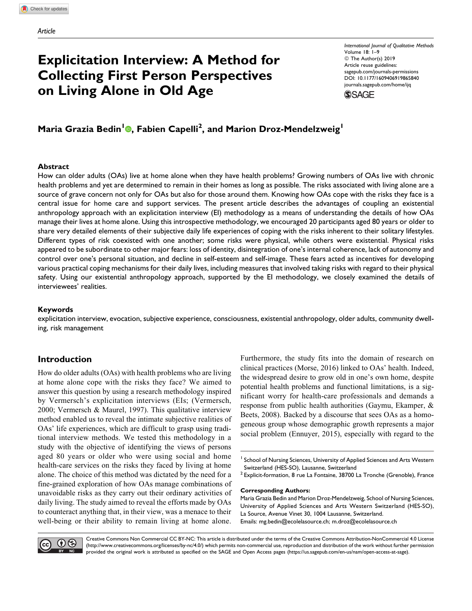# Explicitation Interview: A Method for Collecting First Person Perspectives on Living Alone in Old Age

International Journal of Qualitative Methods Volume 18: 1–9 ª The Author(s) 2019 Article reuse guidelines: [sagepub.com/journals-permissions](https://sagepub.com/journals-permissions) [DOI: 10.1177/1609406919865840](https://doi.org/10.1177/1609406919865840) [journals.sagepub.com/home/ijq](http://journals.sagepub.com/home/ijq)



## Maria Grazia Bedin<sup>l</sup>®[,](https://orcid.org/0000-0003-4493-1176) Fabien Capelli<sup>2</sup>, and Marion Droz-Mendelzweig<sup>l</sup>

#### Abstract

How can older adults (OAs) live at home alone when they have health problems? Growing numbers of OAs live with chronic health problems and yet are determined to remain in their homes as long as possible. The risks associated with living alone are a source of grave concern not only for OAs but also for those around them. Knowing how OAs cope with the risks they face is a central issue for home care and support services. The present article describes the advantages of coupling an existential anthropology approach with an explicitation interview (EI) methodology as a means of understanding the details of how OAs manage their lives at home alone. Using this introspective methodology, we encouraged 20 participants aged 80 years or older to share very detailed elements of their subjective daily life experiences of coping with the risks inherent to their solitary lifestyles. Different types of risk coexisted with one another; some risks were physical, while others were existential. Physical risks appeared to be subordinate to other major fears: loss of identity, disintegration of one's internal coherence, lack of autonomy and control over one's personal situation, and decline in self-esteem and self-image. These fears acted as incentives for developing various practical coping mechanisms for their daily lives, including measures that involved taking risks with regard to their physical safety. Using our existential anthropology approach, supported by the EI methodology, we closely examined the details of interviewees' realities.

### Keywords

explicitation interview, evocation, subjective experience, consciousness, existential anthropology, older adults, community dwelling, risk management

### Introduction

How do older adults (OAs) with health problems who are living at home alone cope with the risks they face? We aimed to answer this question by using a research methodology inspired by Vermersch's explicitation interviews (EIs; (Vermersch, 2000; Vermersch & Maurel, 1997). This qualitative interview method enabled us to reveal the intimate subjective realities of OAs' life experiences, which are difficult to grasp using traditional interview methods. We tested this methodology in a study with the objective of identifying the views of persons aged 80 years or older who were using social and home health-care services on the risks they faced by living at home alone. The choice of this method was dictated by the need for a fine-grained exploration of how OAs manage combinations of unavoidable risks as they carry out their ordinary activities of daily living. The study aimed to reveal the efforts made by OAs to counteract anything that, in their view, was a menace to their well-being or their ability to remain living at home alone.

Furthermore, the study fits into the domain of research on clinical practices (Morse, 2016) linked to OAs' health. Indeed, the widespread desire to grow old in one's own home, despite potential health problems and functional limitations, is a significant worry for health-care professionals and demands a response from public health authorities (Gaymu, Ekamper, & Beets, 2008). Backed by a discourse that sees OAs as a homogeneous group whose demographic growth represents a major social problem (Ennuyer, 2015), especially with regard to the

 $2$  Explicit-formation, 8 rue La Fontaine, 38700 La Tronche (Grenoble), France

#### Corresponding Authors:

Maria Grazia Bedin and Marion Droz-Mendelzweig, School of Nursing Sciences, University of Applied Sciences and Arts Western Switzerland (HES-SO), La Source, Avenue Vinet 30, 1004 Lausanne, Switzerland. Emails: [mg.bedin@ecolelasource.ch;](mailto:mg.bedin@ecolelasource.ch) [m.droz@ecolelasource.ch](mailto:m.droz@ecolelasource.ch)



Creative Commons Non Commercial CC BY-NC: This article is distributed under the terms of the Creative Commons Attribution-NonCommercial 4.0 License ([http://www.creativecommons.org/licenses/by-nc/4.0/\)](http://www.creativecommons.org/licenses/by-nc/4.0/) which permits non-commercial use, reproduction and distribution of the work without further permission provided the original work is attributed as specified on the SAGE and Open Access pages [\(https://us.sagepub.com/en-us/nam/open-access-at-sage\)](https://us.sagepub.com/en-us/nam/open-access-at-sage).

<sup>&</sup>lt;sup>1</sup> School of Nursing Sciences, University of Applied Sciences and Arts Western Switzerland (HES-SO), Lausanne, Switzerland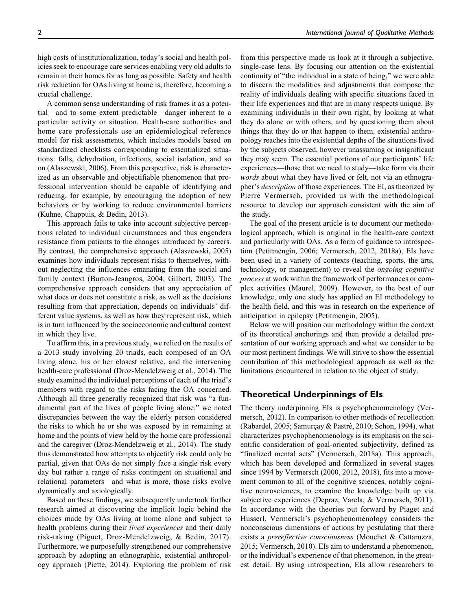high costs of institutionalization, today's social and health policies seek to encourage care services enabling very old adults to remain in their homes for as long as possible. Safety and health risk reduction for OAs living at home is, therefore, becoming a crucial challenge.

A common sense understanding of risk frames it as a potential—and to some extent predictable—danger inherent to a particular activity or situation. Health-care authorities and home care professionals use an epidemiological reference model for risk assessments, which includes models based on standardized checklists corresponding to essentialized situations: falls, dehydration, infections, social isolation, and so on (Alaszewski, 2006). From this perspective, risk is characterized as an observable and objectifiable phenomenon that professional intervention should be capable of identifying and reducing, for example, by encouraging the adoption of new behaviors or by working to reduce environmental barriers (Kuhne, Chappuis, & Bedin, 2013).

This approach fails to take into account subjective perceptions related to individual circumstances and thus engenders resistance from patients to the changes introduced by careers. By contrast, the comprehensive approach (Alaszewski, 2005) examines how individuals represent risks to themselves, without neglecting the influences emanating from the social and family context (Burton-Jeangros, 2004; Gilbert, 2003). The comprehensive approach considers that any appreciation of what does or does not constitute a risk, as well as the decisions resulting from that appreciation, depends on individuals' different value systems, as well as how they represent risk, which is in turn influenced by the socioeconomic and cultural context in which they live.

To affirm this, in a previous study, we relied on the results of a 2013 study involving 20 triads, each composed of an OA living alone, his or her closest relative, and the intervening health-care professional (Droz-Mendelzweig et al., 2014). The study examined the individual perceptions of each of the triad's members with regard to the risks facing the OA concerned. Although all three generally recognized that risk was "a fundamental part of the lives of people living alone," we noted discrepancies between the way the elderly person considered the risks to which he or she was exposed by in remaining at home and the points of view held by the home care professional and the caregiver (Droz-Mendelzweig et al., 2014). The study thus demonstrated how attempts to objectify risk could only be partial, given that OAs do not simply face a single risk every day but rather a range of risks contingent on situational and relational parameters—and what is more, those risks evolve dynamically and axiologically.

Based on these findings, we subsequently undertook further research aimed at discovering the implicit logic behind the choices made by OAs living at home alone and subject to health problems during their *lived experiences* and their daily risk-taking (Piguet, Droz-Mendelzweig, & Bedin, 2017). Furthermore, we purposefully strengthened our comprehensive approach by adopting an ethnographic, existential anthropology approach (Piette, 2014). Exploring the problem of risk

from this perspective made us look at it through a subjective, single-case lens. By focusing our attention on the existential continuity of "the individual in a state of being," we were able to discern the modalities and adjustments that compose the reality of individuals dealing with specific situations faced in their life experiences and that are in many respects unique. By examining individuals in their own right, by looking at what they do alone or with others, and by questioning them about things that they do or that happen to them, existential anthropology reaches into the existential depths of the situations lived by the subjects observed, however unassuming or insignificant they may seem. The essential portions of our participants' life experiences—those that we need to study—take form via their words about what they have lived or felt, not via an ethnographer's description of those experiences. The EI, as theorized by Pierre Vermersch, provided us with the methodological resource to develop our approach consistent with the aim of the study.

The goal of the present article is to document our methodological approach, which is original in the health-care context and particularly with OAs. As a form of guidance to introspection (Petitmengin, 2006; Vermersch, 2012, 2018a), EIs have been used in a variety of contexts (teaching, sports, the arts, technology, or management) to reveal the ongoing cognitive process at work within the framework of performances or complex activities (Maurel, 2009). However, to the best of our knowledge, only one study has applied an EI methodology to the health field, and this was in research on the experience of anticipation in epilepsy (Petitmengin, 2005).

Below we will position our methodology within the context of its theoretical anchorings and then provide a detailed presentation of our working approach and what we consider to be our most pertinent findings. We will strive to show the essential contribution of this methodological approach as well as the limitations encountered in relation to the object of study.

### Theoretical Underpinnings of EIs

The theory underpinning EIs is psychophenomenology (Vermersch, 2012). In comparison to other methods of recollection (Rabardel, 2005; Samurçay & Pastré, 2010; Schon, 1994), what characterizes psychophenomenology is its emphasis on the scientific consideration of goal-oriented subjectivity, defined as "finalized mental acts" (Vermersch, 2018a). This approach, which has been developed and formalized in several stages since 1994 by Vermersch (2000, 2012, 2018), fits into a movement common to all of the cognitive sciences, notably cognitive neurosciences, to examine the knowledge built up via subjective experiences (Depraz, Varela, & Vermersch, 2011). In accordance with the theories put forward by Piaget and Husserl, Vermersch's psychophenomenology considers the nonconscious dimensions of actions by postulating that there exists a prereflective consciousness (Mouchet & Cattaruzza, 2015; Vermersch, 2010). EIs aim to understand a phenomenon, or the individual's experience of that phenomenon, in the greatest detail. By using introspection, EIs allow researchers to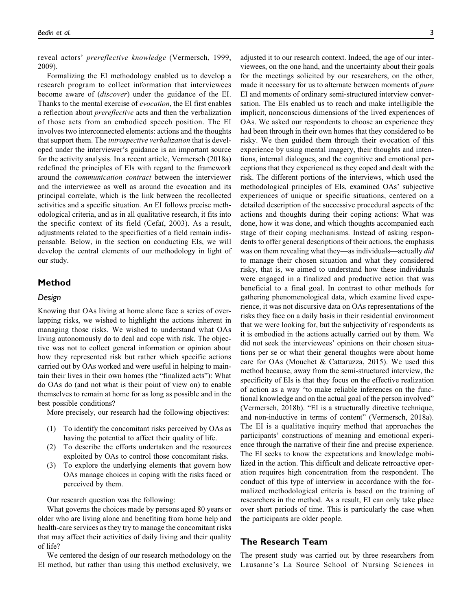reveal actors' prereflective knowledge (Vermersch, 1999, 2009).

Formalizing the EI methodology enabled us to develop a research program to collect information that interviewees become aware of (discover) under the guidance of the EI. Thanks to the mental exercise of evocation, the EI first enables a reflection about prereflective acts and then the verbalization of those acts from an embodied speech position. The EI involves two interconnected elements: actions and the thoughts that support them. The introspective verbalization that is developed under the interviewer's guidance is an important source for the activity analysis. In a recent article, Vermersch (2018a) redefined the principles of EIs with regard to the framework around the communication contract between the interviewer and the interviewee as well as around the evocation and its principal correlate, which is the link between the recollected activities and a specific situation. An EI follows precise methodological criteria, and as in all qualitative research, it fits into the specific context of its field (Cefai, 2003). As a result, adjustments related to the specificities of a field remain indispensable. Below, in the section on conducting EIs, we will develop the central elements of our methodology in light of our study.

### Method

#### Design

Knowing that OAs living at home alone face a series of overlapping risks, we wished to highlight the actions inherent in managing those risks. We wished to understand what OAs living autonomously do to deal and cope with risk. The objective was not to collect general information or opinion about how they represented risk but rather which specific actions carried out by OAs worked and were useful in helping to maintain their lives in their own homes (the "finalized acts"): What do OAs do (and not what is their point of view on) to enable themselves to remain at home for as long as possible and in the best possible conditions?

More precisely, our research had the following objectives:

- (1) To identify the concomitant risks perceived by OAs as having the potential to affect their quality of life.
- (2) To describe the efforts undertaken and the resources exploited by OAs to control those concomitant risks.
- (3) To explore the underlying elements that govern how OAs manage choices in coping with the risks faced or perceived by them.

Our research question was the following:

What governs the choices made by persons aged 80 years or older who are living alone and benefiting from home help and health-care services as they try to manage the concomitant risks that may affect their activities of daily living and their quality of life?

We centered the design of our research methodology on the EI method, but rather than using this method exclusively, we adjusted it to our research context. Indeed, the age of our interviewees, on the one hand, and the uncertainty about their goals for the meetings solicited by our researchers, on the other, made it necessary for us to alternate between moments of *pure* EI and moments of ordinary semi-structured interview conversation. The EIs enabled us to reach and make intelligible the implicit, nonconscious dimensions of the lived experiences of OAs. We asked our respondents to choose an experience they had been through in their own homes that they considered to be risky. We then guided them through their evocation of this experience by using mental imagery, their thoughts and intentions, internal dialogues, and the cognitive and emotional perceptions that they experienced as they coped and dealt with the risk. The different portions of the interviews, which used the methodological principles of EIs, examined OAs' subjective experiences of unique or specific situations, centered on a detailed description of the successive procedural aspects of the actions and thoughts during their coping actions: What was done, how it was done, and which thoughts accompanied each stage of their coping mechanisms. Instead of asking respondents to offer general descriptions of their actions, the emphasis was on them revealing what they—as individuals—actually *did* to manage their chosen situation and what they considered risky, that is, we aimed to understand how these individuals were engaged in a finalized and productive action that was beneficial to a final goal. In contrast to other methods for gathering phenomenological data, which examine lived experience, it was not discursive data on OAs representations of the risks they face on a daily basis in their residential environment that we were looking for, but the subjectivity of respondents as it is embodied in the actions actually carried out by them. We did not seek the interviewees' opinions on their chosen situations per se or what their general thoughts were about home care for OAs (Mouchet & Cattaruzza, 2015). We used this method because, away from the semi-structured interview, the specificity of EIs is that they focus on the effective realization of action as a way "to make reliable inferences on the functional knowledge and on the actual goal of the person involved" (Vermersch, 2018b). "EI is a structurally directive technique, and non-inductive in terms of content" (Vermersch, 2018a). The EI is a qualitative inquiry method that approaches the participants' constructions of meaning and emotional experience through the narrative of their fine and precise experience. The EI seeks to know the expectations and knowledge mobilized in the action. This difficult and delicate retroactive operation requires high concentration from the respondent. The conduct of this type of interview in accordance with the formalized methodological criteria is based on the training of researchers in the method. As a result, EI can only take place over short periods of time. This is particularly the case when the participants are older people.

### The Research Team

The present study was carried out by three researchers from Lausanne's La Source School of Nursing Sciences in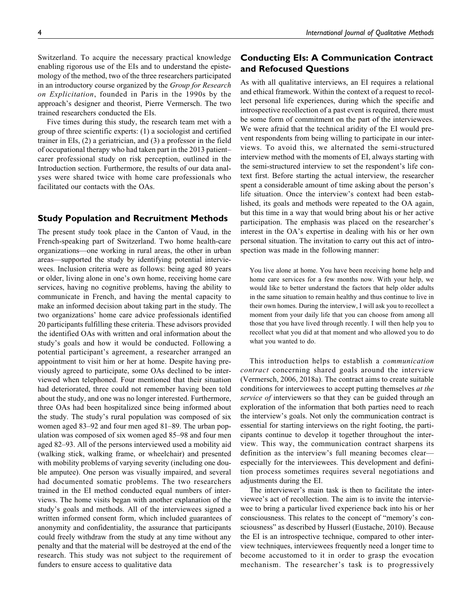Switzerland. To acquire the necessary practical knowledge enabling rigorous use of the EIs and to understand the epistemology of the method, two of the three researchers participated in an introductory course organized by the Group for Research on Explicitation, founded in Paris in the 1990s by the approach's designer and theorist, Pierre Vermersch. The two trained researchers conducted the EIs.

Five times during this study, the research team met with a group of three scientific experts: (1) a sociologist and certified trainer in EIs, (2) a geriatrician, and (3) a professor in the field of occupational therapy who had taken part in the 2013 patient– carer professional study on risk perception, outlined in the Introduction section. Furthermore, the results of our data analyses were shared twice with home care professionals who facilitated our contacts with the OAs.

### Study Population and Recruitment Methods

The present study took place in the Canton of Vaud, in the French-speaking part of Switzerland. Two home health-care organizations—one working in rural areas, the other in urban areas—supported the study by identifying potential interviewees. Inclusion criteria were as follows: being aged 80 years or older, living alone in one's own home, receiving home care services, having no cognitive problems, having the ability to communicate in French, and having the mental capacity to make an informed decision about taking part in the study. The two organizations' home care advice professionals identified 20 participants fulfilling these criteria. These advisors provided the identified OAs with written and oral information about the study's goals and how it would be conducted. Following a potential participant's agreement, a researcher arranged an appointment to visit him or her at home. Despite having previously agreed to participate, some OAs declined to be interviewed when telephoned. Four mentioned that their situation had deteriorated, three could not remember having been told about the study, and one was no longer interested. Furthermore, three OAs had been hospitalized since being informed about the study. The study's rural population was composed of six women aged 83–92 and four men aged 81–89. The urban population was composed of six women aged 85–98 and four men aged 82–93. All of the persons interviewed used a mobility aid (walking stick, walking frame, or wheelchair) and presented with mobility problems of varying severity (including one double amputee). One person was visually impaired, and several had documented somatic problems. The two researchers trained in the EI method conducted equal numbers of interviews. The home visits began with another explanation of the study's goals and methods. All of the interviewees signed a written informed consent form, which included guarantees of anonymity and confidentiality, the assurance that participants could freely withdraw from the study at any time without any penalty and that the material will be destroyed at the end of the research. This study was not subject to the requirement of funders to ensure access to qualitative data

### Conducting EIs: A Communication Contract and Refocused Questions

As with all qualitative interviews, an EI requires a relational and ethical framework. Within the context of a request to recollect personal life experiences, during which the specific and introspective recollection of a past event is required, there must be some form of commitment on the part of the interviewees. We were afraid that the technical aridity of the EI would prevent respondents from being willing to participate in our interviews. To avoid this, we alternated the semi-structured interview method with the moments of EI, always starting with the semi-structured interview to set the respondent's life context first. Before starting the actual interview, the researcher spent a considerable amount of time asking about the person's life situation. Once the interview's context had been established, its goals and methods were repeated to the OA again, but this time in a way that would bring about his or her active participation. The emphasis was placed on the researcher's interest in the OA's expertise in dealing with his or her own personal situation. The invitation to carry out this act of introspection was made in the following manner:

You live alone at home. You have been receiving home help and home care services for a few months now. With your help, we would like to better understand the factors that help older adults in the same situation to remain healthy and thus continue to live in their own homes. During the interview, I will ask you to recollect a moment from your daily life that you can choose from among all those that you have lived through recently. I will then help you to recollect what you did at that moment and who allowed you to do what you wanted to do.

This introduction helps to establish a communication contract concerning shared goals around the interview (Vermersch, 2006, 2018a). The contract aims to create suitable conditions for interviewees to accept putting themselves at the service of interviewers so that they can be guided through an exploration of the information that both parties need to reach the interview's goals. Not only the communication contract is essential for starting interviews on the right footing, the participants continue to develop it together throughout the interview. This way, the communication contract sharpens its definition as the interview's full meaning becomes clear especially for the interviewees. This development and definition process sometimes requires several negotiations and adjustments during the EI.

The interviewer's main task is then to facilitate the interviewee's act of recollection. The aim is to invite the interviewee to bring a particular lived experience back into his or her consciousness. This relates to the concept of "memory's consciousness" as described by Husserl (Eustache, 2010). Because the EI is an introspective technique, compared to other interview techniques, interviewees frequently need a longer time to become accustomed to it in order to grasp the evocation mechanism. The researcher's task is to progressively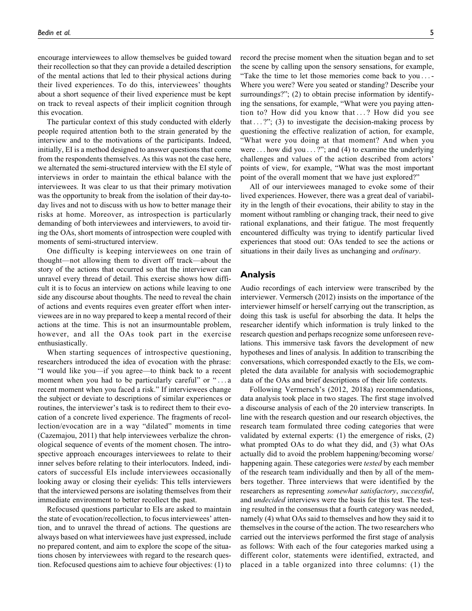encourage interviewees to allow themselves be guided toward their recollection so that they can provide a detailed description of the mental actions that led to their physical actions during their lived experiences. To do this, interviewees' thoughts about a short sequence of their lived experience must be kept on track to reveal aspects of their implicit cognition through this evocation.

The particular context of this study conducted with elderly people required attention both to the strain generated by the interview and to the motivations of the participants. Indeed, initially, EI is a method designed to answer questions that come from the respondents themselves. As this was not the case here, we alternated the semi-structured interview with the EI style of interviews in order to maintain the ethical balance with the interviewees. It was clear to us that their primary motivation was the opportunity to break from the isolation of their day-today lives and not to discuss with us how to better manage their risks at home. Moreover, as introspection is particularly demanding of both interviewees and interviewers, to avoid tiring the OAs, short moments of introspection were coupled with moments of semi-structured interview.

One difficulty is keeping interviewees on one train of thought—not allowing them to divert off track—about the story of the actions that occurred so that the interviewer can unravel every thread of detail. This exercise shows how difficult it is to focus an interview on actions while leaving to one side any discourse about thoughts. The need to reveal the chain of actions and events requires even greater effort when interviewees are in no way prepared to keep a mental record of their actions at the time. This is not an insurmountable problem, however, and all the OAs took part in the exercise enthusiastically.

When starting sequences of introspective questioning, researchers introduced the idea of evocation with the phrase: "I would like you—if you agree—to think back to a recent moment when you had to be particularly careful" or "...a recent moment when you faced a risk." If interviewees change the subject or deviate to descriptions of similar experiences or routines, the interviewer's task is to redirect them to their evocation of a concrete lived experience. The fragments of recollection/evocation are in a way "dilated" moments in time (Cazemajou, 2011) that help interviewees verbalize the chronological sequence of events of the moment chosen. The introspective approach encourages interviewees to relate to their inner selves before relating to their interlocutors. Indeed, indicators of successful EIs include interviewees occasionally looking away or closing their eyelids: This tells interviewers that the interviewed persons are isolating themselves from their immediate environment to better recollect the past.

Refocused questions particular to EIs are asked to maintain the state of evocation/recollection, to focus interviewees' attention, and to unravel the thread of actions. The questions are always based on what interviewees have just expressed, include no prepared content, and aim to explore the scope of the situations chosen by interviewees with regard to the research question. Refocused questions aim to achieve four objectives: (1) to record the precise moment when the situation began and to set the scene by calling upon the sensory sensations, for example, "Take the time to let those memories come back to you ... - Where you were? Were you seated or standing? Describe your surroundings?"; (2) to obtain precise information by identifying the sensations, for example, "What were you paying attention to? How did you know that ... ? How did you see that  $\ldots$ ?"; (3) to investigate the decision-making process by questioning the effective realization of action, for example, "What were you doing at that moment? And when you were ... how did you ... ?"; and (4) to examine the underlying challenges and values of the action described from actors' points of view, for example, "What was the most important point of the overall moment that we have just explored?"

All of our interviewees managed to evoke some of their lived experiences. However, there was a great deal of variability in the length of their evocations, their ability to stay in the moment without rambling or changing track, their need to give rational explanations, and their fatigue. The most frequently encountered difficulty was trying to identify particular lived experiences that stood out: OAs tended to see the actions or situations in their daily lives as unchanging and *ordinary*.

### Analysis

Audio recordings of each interview were transcribed by the interviewer. Vermersch (2012) insists on the importance of the interviewer himself or herself carrying out the transcription, as doing this task is useful for absorbing the data. It helps the researcher identify which information is truly linked to the research question and perhaps recognize some unforeseen revelations. This immersive task favors the development of new hypotheses and lines of analysis. In addition to transcribing the conversations, which corresponded exactly to the EIs, we completed the data available for analysis with sociodemographic data of the OAs and brief descriptions of their life contexts.

Following Vermersch's (2012, 2018a) recommendations, data analysis took place in two stages. The first stage involved a discourse analysis of each of the 20 interview transcripts. In line with the research question and our research objectives, the research team formulated three coding categories that were validated by external experts: (1) the emergence of risks, (2) what prompted OAs to do what they did, and (3) what OAs actually did to avoid the problem happening/becoming worse/ happening again. These categories were *tested* by each member of the research team individually and then by all of the members together. Three interviews that were identified by the researchers as representing somewhat satisfactory, successful, and *undecided* interviews were the basis for this test. The testing resulted in the consensus that a fourth category was needed, namely (4) what OAs said to themselves and how they said it to themselves in the course of the action. The two researchers who carried out the interviews performed the first stage of analysis as follows: With each of the four categories marked using a different color, statements were identified, extracted, and placed in a table organized into three columns: (1) the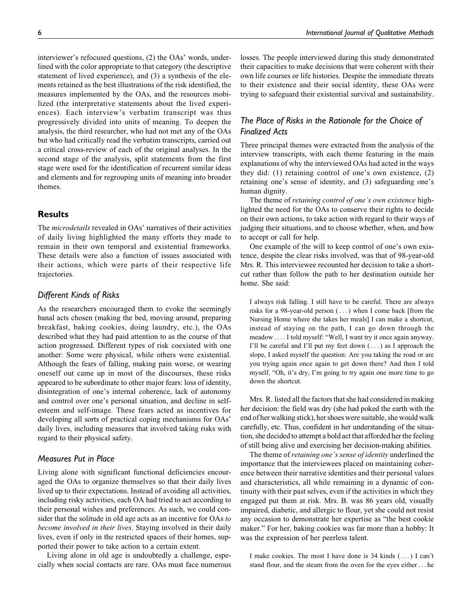interviewer's refocused questions, (2) the OAs' words, underlined with the color appropriate to that category (the descriptive statement of lived experience), and (3) a synthesis of the elements retained as the best illustrations of the risk identified, the measures implemented by the OAs, and the resources mobilized (the interpretative statements about the lived experiences). Each interview's verbatim transcript was thus progressively divided into units of meaning. To deepen the analysis, the third researcher, who had not met any of the OAs but who had critically read the verbatim transcripts, carried out a critical cross-review of each of the original analyses. In the second stage of the analysis, split statements from the first stage were used for the identification of recurrent similar ideas and elements and for regrouping units of meaning into broader themes.

### **Results**

The microdetails revealed in OAs' narratives of their activities of daily living highlighted the many efforts they made to remain in their own temporal and existential frameworks. These details were also a function of issues associated with their actions, which were parts of their respective life trajectories.

### Different Kinds of Risks

As the researchers encouraged them to evoke the seemingly banal acts chosen (making the bed, moving around, preparing breakfast, baking cookies, doing laundry, etc.), the OAs described what they had paid attention to as the course of that action progressed. Different types of risk coexisted with one another: Some were physical, while others were existential. Although the fears of falling, making pain worse, or wearing oneself out came up in most of the discourses, these risks appeared to be subordinate to other major fears: loss of identity, disintegration of one's internal coherence, lack of autonomy and control over one's personal situation, and decline in selfesteem and self-image. These fears acted as incentives for developing all sorts of practical coping mechanisms for OAs' daily lives, including measures that involved taking risks with regard to their physical safety.

### Measures Put in Place

Living alone with significant functional deficiencies encouraged the OAs to organize themselves so that their daily lives lived up to their expectations. Instead of avoiding all activities, including risky activities, each OA had tried to act according to their personal wishes and preferences. As such, we could consider that the solitude in old age acts as an incentive for OAs to become involved in their lives. Staying involved in their daily lives, even if only in the restricted spaces of their homes, supported their power to take action to a certain extent.

Living alone in old age is undoubtedly a challenge, especially when social contacts are rare. OAs must face numerous losses. The people interviewed during this study demonstrated their capacities to make decisions that were coherent with their own life courses or life histories. Despite the immediate threats to their existence and their social identity, these OAs were trying to safeguard their existential survival and sustainability.

### The Place of Risks in the Rationale for the Choice of Finalized Acts

Three principal themes were extracted from the analysis of the interview transcripts, with each theme featuring in the main explanations of why the interviewed OAs had acted in the ways they did: (1) retaining control of one's own existence, (2) retaining one's sense of identity, and (3) safeguarding one's human dignity.

The theme of retaining control of one's own existence highlighted the need for the OAs to conserve their rights to decide on their own actions, to take action with regard to their ways of judging their situations, and to choose whether, when, and how to accept or call for help.

One example of the will to keep control of one's own existence, despite the clear risks involved, was that of 98-year-old Mrs. R. This interviewee recounted her decision to take a shortcut rather than follow the path to her destination outside her home. She said:

I always risk falling. I still have to be careful. There are always risks for a 98-year-old person ( ...) when I come back [from the Nursing Home where she takes her meals] I can make a shortcut, instead of staying on the path, I can go down through the meadow ... . I told myself: "Well, I want try it once again anyway. I'll be careful and I'll put my feet down  $(\,\ldots)$  as I approach the slope, I asked myself the question: Are you taking the road or are you trying again once again to get down there? And then I told myself, "Oh, it's dry, I'm going to try again one more time to go down the shortcut.

Mrs. R. listed all the factors that she had considered in making her decision: the field was dry (she had poked the earth with the end of her walking stick), her shoes were suitable, she would walk carefully, etc. Thus, confident in her understanding of the situation, she decided to attempt a bold act that afforded her the feeling of still being alive and exercising her decision-making abilities.

The theme of retaining one's sense of identity underlined the importance that the interviewees placed on maintaining coherence between their narrative identities and their personal values and characteristics, all while remaining in a dynamic of continuity with their past selves, even if the activities in which they engaged put them at risk. Mrs. B. was 86 years old, visually impaired, diabetic, and allergic to flour, yet she could not resist any occasion to demonstrate her expertise as "the best cookie maker." For her, baking cookies was far more than a hobby: It was the expression of her peerless talent.

I make cookies. The most I have done is 34 kinds ( ...) I can't stand flour, and the steam from the oven for the eyes either ... he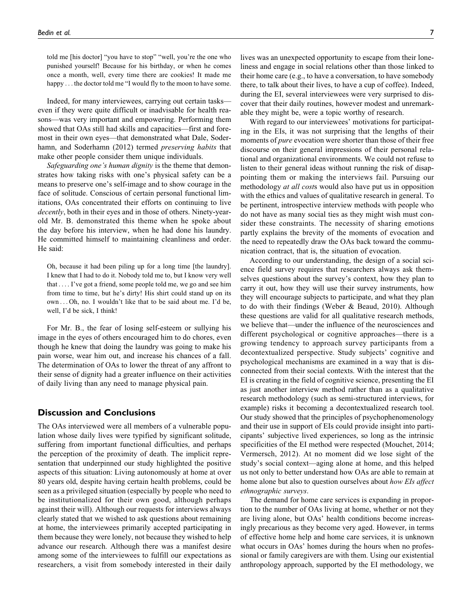told me [his doctor] "you have to stop" "well, you're the one who punished yourself! Because for his birthday, or when he comes once a month, well, every time there are cookies! It made me happy . . . the doctor told me "I would fly to the moon to have some.

Indeed, for many interviewees, carrying out certain tasks even if they were quite difficult or inadvisable for health reasons—was very important and empowering. Performing them showed that OAs still had skills and capacities—first and foremost in their own eyes—that demonstrated what Dale, Soderhamn, and Soderhamn (2012) termed preserving habits that make other people consider them unique individuals.

Safeguarding one's human dignity is the theme that demonstrates how taking risks with one's physical safety can be a means to preserve one's self-image and to show courage in the face of solitude. Conscious of certain personal functional limitations, OAs concentrated their efforts on continuing to live decently, both in their eyes and in those of others. Ninety-yearold Mr. B. demonstrated this theme when he spoke about the day before his interview, when he had done his laundry. He committed himself to maintaining cleanliness and order. He said:

Oh, because it had been piling up for a long time [the laundry]. I knew that I had to do it. Nobody told me to, but I know very well that ... . I've got a friend, some people told me, we go and see him from time to time, but he's dirty! His shirt could stand up on its own ... Oh, no. I wouldn't like that to be said about me. I'd be, well, I'd be sick, I think!

For Mr. B., the fear of losing self-esteem or sullying his image in the eyes of others encouraged him to do chores, even though he knew that doing the laundry was going to make his pain worse, wear him out, and increase his chances of a fall. The determination of OAs to lower the threat of any affront to their sense of dignity had a greater influence on their activities of daily living than any need to manage physical pain.

### Discussion and Conclusions

The OAs interviewed were all members of a vulnerable population whose daily lives were typified by significant solitude, suffering from important functional difficulties, and perhaps the perception of the proximity of death. The implicit representation that underpinned our study highlighted the positive aspects of this situation: Living autonomously at home at over 80 years old, despite having certain health problems, could be seen as a privileged situation (especially by people who need to be institutionalized for their own good, although perhaps against their will). Although our requests for interviews always clearly stated that we wished to ask questions about remaining at home, the interviewees primarily accepted participating in them because they were lonely, not because they wished to help advance our research. Although there was a manifest desire among some of the interviewees to fulfill our expectations as researchers, a visit from somebody interested in their daily lives was an unexpected opportunity to escape from their loneliness and engage in social relations other than those linked to their home care (e.g., to have a conversation, to have somebody there, to talk about their lives, to have a cup of coffee). Indeed, during the EI, several interviewees were very surprised to discover that their daily routines, however modest and unremarkable they might be, were a topic worthy of research.

With regard to our interviewees' motivations for participating in the EIs, it was not surprising that the lengths of their moments of *pure* evocation were shorter than those of their free discourse on their general impressions of their personal relational and organizational environments. We could not refuse to listen to their general ideas without running the risk of disappointing them or making the interviews fail. Pursuing our methodology *at all costs* would also have put us in opposition with the ethics and values of qualitative research in general. To be pertinent, introspective interview methods with people who do not have as many social ties as they might wish must consider these constraints. The necessity of sharing emotions partly explains the brevity of the moments of evocation and the need to repeatedly draw the OAs back toward the communication contract, that is, the situation of evocation.

According to our understanding, the design of a social science field survey requires that researchers always ask themselves questions about the survey's context, how they plan to carry it out, how they will use their survey instruments, how they will encourage subjects to participate, and what they plan to do with their findings (Weber & Beaud, 2010). Although these questions are valid for all qualitative research methods, we believe that—under the influence of the neurosciences and different psychological or cognitive approaches—there is a growing tendency to approach survey participants from a decontextualized perspective. Study subjects' cognitive and psychological mechanisms are examined in a way that is disconnected from their social contexts. With the interest that the EI is creating in the field of cognitive science, presenting the EI as just another interview method rather than as a qualitative research methodology (such as semi-structured interviews, for example) risks it becoming a decontextualized research tool. Our study showed that the principles of psychophenomenology and their use in support of EIs could provide insight into participants' subjective lived experiences, so long as the intrinsic specificities of the EI method were respected (Mouchet, 2014; Vermersch, 2012). At no moment did we lose sight of the study's social context—aging alone at home, and this helped us not only to better understand how OAs are able to remain at home alone but also to question ourselves about how EIs affect ethnographic surveys.

The demand for home care services is expanding in proportion to the number of OAs living at home, whether or not they are living alone, but OAs' health conditions become increasingly precarious as they become very aged. However, in terms of effective home help and home care services, it is unknown what occurs in OAs' homes during the hours when no professional or family caregivers are with them. Using our existential anthropology approach, supported by the EI methodology, we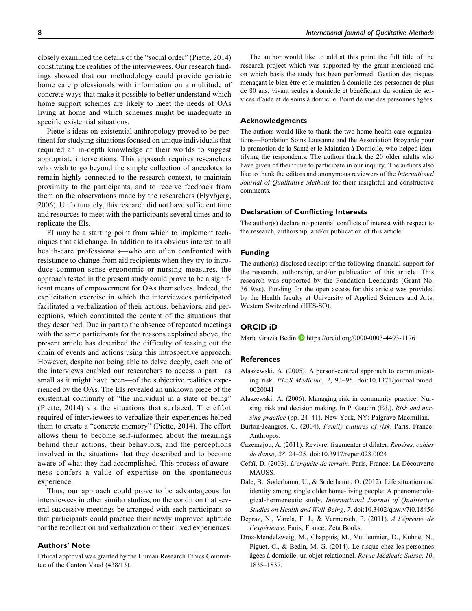constituting the realities of the interviewees. Our research findings showed that our methodology could provide geriatric home care professionals with information on a multitude of concrete ways that make it possible to better understand which home support schemes are likely to meet the needs of OAs living at home and which schemes might be inadequate in specific existential situations.

Piette's ideas on existential anthropology proved to be pertinent for studying situations focused on unique individuals that required an in-depth knowledge of their worlds to suggest appropriate interventions. This approach requires researchers who wish to go beyond the simple collection of anecdotes to remain highly connected to the research context, to maintain proximity to the participants, and to receive feedback from them on the observations made by the researchers (Flyvbjerg, 2006). Unfortunately, this research did not have sufficient time and resources to meet with the participants several times and to replicate the EIs.

EI may be a starting point from which to implement techniques that aid change. In addition to its obvious interest to all health-care professionals—who are often confronted with resistance to change from aid recipients when they try to introduce common sense ergonomic or nursing measures, the approach tested in the present study could prove to be a significant means of empowerment for OAs themselves. Indeed, the explicitation exercise in which the interviewees participated facilitated a verbalization of their actions, behaviors, and perceptions, which constituted the content of the situations that they described. Due in part to the absence of repeated meetings with the same participants for the reasons explained above, the present article has described the difficulty of teasing out the chain of events and actions using this introspective approach. However, despite not being able to delve deeply, each one of the interviews enabled our researchers to access a part—as small as it might have been—of the subjective realities experienced by the OAs. The EIs revealed an unknown piece of the existential continuity of "the individual in a state of being" (Piette, 2014) via the situations that surfaced. The effort required of interviewees to verbalize their experiences helped them to create a "concrete memory" (Piette, 2014). The effort allows them to become self-informed about the meanings behind their actions, their behaviors, and the perceptions involved in the situations that they described and to become aware of what they had accomplished. This process of awareness confers a value of expertise on the spontaneous experience.

Thus, our approach could prove to be advantageous for interviewees in other similar studies, on the condition that several successive meetings be arranged with each participant so that participants could practice their newly improved aptitude for the recollection and verbalization of their lived experiences.

### Authors' Note

Ethical approval was granted by the Human Research Ethics Committee of the Canton Vaud (438/13).

The author would like to add at this point the full title of the research project which was supported by the grant mentioned and on which basis the study has been performed: Gestion des risques menaçant le bien être et le maintien à domicile des personnes de plus de 80 ans, vivant seules à domicile et bénéficiant du soutien de services d'aide et de soins à domicile. Point de vue des personnes âgées.

#### Acknowledgments

The authors would like to thank the two home health-care organizations—Fondation Soins Lausanne and the Association Broyarde pour la promotion de la Santé et le Maintien à Domicile, who helped identifying the respondents. The authors thank the 20 older adults who have given of their time to participate in our inquiry. The authors also like to thank the editors and anonymous reviewers of the International Journal of Qualitative Methods for their insightful and constructive comments.

### Declaration of Conflicting Interests

The author(s) declare no potential conflicts of interest with respect to the research, authorship, and/or publication of this article.

### Funding

The author(s) disclosed receipt of the following financial support for the research, authorship, and/or publication of this article: This research was supported by the Fondation Leenaards (Grant No. 3619/ss). Funding for the open access for this article was provided by the Health faculty at University of Applied Sciences and Arts, Western Switzerland (HES-SO).

#### ORCID iD

Maria Grazia Bedin <https://orcid.org/0000-0003-4493-1176>

#### References

- Alaszewski, A. (2005). A person-centred approach to communicating risk. PLoS Medicine, 2, 93–95. doi:10.1371/journal.pmed. 0020041
- Alaszewski, A. (2006). Managing risk in community practice: Nursing, risk and decision making. In P. Gaudin (Ed.), Risk and nursing practice (pp. 24–41). New York, NY: Palgrave Macmillan.
- Burton-Jeangros, C. (2004). Family cultures of risk. Paris, France: Anthropos.
- Cazemajou, A. (2011). Revivre, fragmenter et dilater. Repères, cahier de danse, 28, 24–25. doi:10.3917/reper.028.0024
- Cefaï, D. (2003). L'enquête de terrain. Paris, France: La Découverte MAUSS.
- Dale, B., Soderhamn, U., & Soderhamn, O. (2012). Life situation and identity among single older home-living people: A phenomenological-hermeneutic study. International Journal of Qualitative Studies on Health and Well-Being, 7. doi:10.3402/qhw.v7i0.18456
- Depraz, N., Varela, F. J., & Vermersch, P. (2011). A l'épreuve de l'expérience. Paris, France: Zeta Books.
- Droz-Mendelzweig, M., Chappuis, M., Vuilleumier, D., Kuhne, N., Piguet, C., & Bedin, M. G. (2014). Le risque chez les personnes âgées à domicile: un objet relationnel. Revue Médicale Suisse, 10, 1835–1837.